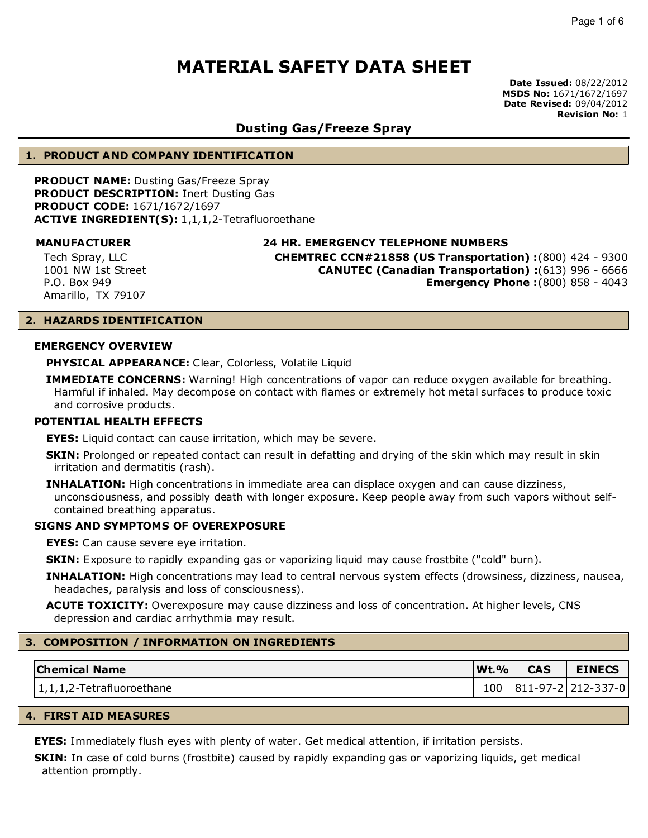**Date Issued:** 08/22/2012 **MSDS No:** 1671/1672/1697 **Date Revised:** 09/04/2012 **Revision No:** 1

### **Dusting Gas/Freeze Spray**

#### **1. PRODUCT AND COMPANY IDENTIFICATION**

**PRODUCT NAME:** Dusting Gas/Freeze Spray **PRODUCT DESCRIPTION:** Inert Dusting Gas **PRODUCT CODE:** 1671/1672/1697 **ACTIVE INGREDIENT(S):** 1,1,1,2-Tetrafluoroethane

Tech Spray, LLC 1001 NW 1st Street P.O. Box 949 Amarillo, TX 79107

**MANUFACTURER 24 HR. EMERGENCY TELEPHONE NUMBERS**

**CHEMTREC CCN#21858 (US Transportation) :**(800) 424 - 9300 **CANUTEC (Canadian Transportation) :**(613) 996 - 6666 **Emergency Phone :**(800) 858 - 4043

#### **2. HAZARDS IDENTIFICATION**

#### **EMERGENCY OVERVIEW**

**PHYSICAL APPEARANCE:** Clear, Colorless, Volatile Liquid

**IMMEDIATE CONCERNS:** Warning! High concentrations of vapor can reduce oxygen available for breathing. Harmful if inhaled. May decompose on contact with flames or extremely hot metal surfaces to produce toxic and corrosive products.

#### **POTENTIAL HEALTH EFFECTS**

**EYES:** Liquid contact can cause irritation, which may be severe.

- **SKIN:** Prolonged or repeated contact can result in defatting and drying of the skin which may result in skin irritation and dermatitis (rash).
- **INHALATION:** High concentrations in immediate area can displace oxygen and can cause dizziness, unconsciousness, and possibly death with longer exposure. Keep people away from such vapors without selfcontained breathing apparatus.

#### **SIGNS AND SYMPTOMS OF OVEREXPOSURE**

**EYES:** Can cause severe eye irritation.

**SKIN:** Exposure to rapidly expanding gas or vaporizing liquid may cause frostbite ("cold" burn).

**INHALATION:** High concentrations may lead to central nervous system effects (drowsiness, dizziness, nausea, headaches, paralysis and loss of consciousness).

**ACUTE TOXICITY:** Overexposure may cause dizziness and loss of concentration. At higher levels, CNS depression and cardiac arrhythmia may result.

#### **3. COMPOSITION / INFORMATION ON INGREDIENTS**

| <b>Chemical Name</b>       | $ \mathbf{W}$ t. $\% $ | <b>CAS</b> | <b>EINECS</b>      |
|----------------------------|------------------------|------------|--------------------|
| 11,1,1,2-Tetrafluoroethane | 100                    |            | 811-97-2 212-337-0 |

#### **4. FIRST AID MEASURES**

**EYES:** Immediately flush eyes with plenty of water. Get medical attention, if irritation persists.

**SKIN:** In case of cold burns (frostbite) caused by rapidly expanding gas or vaporizing liquids, get medical attention promptly.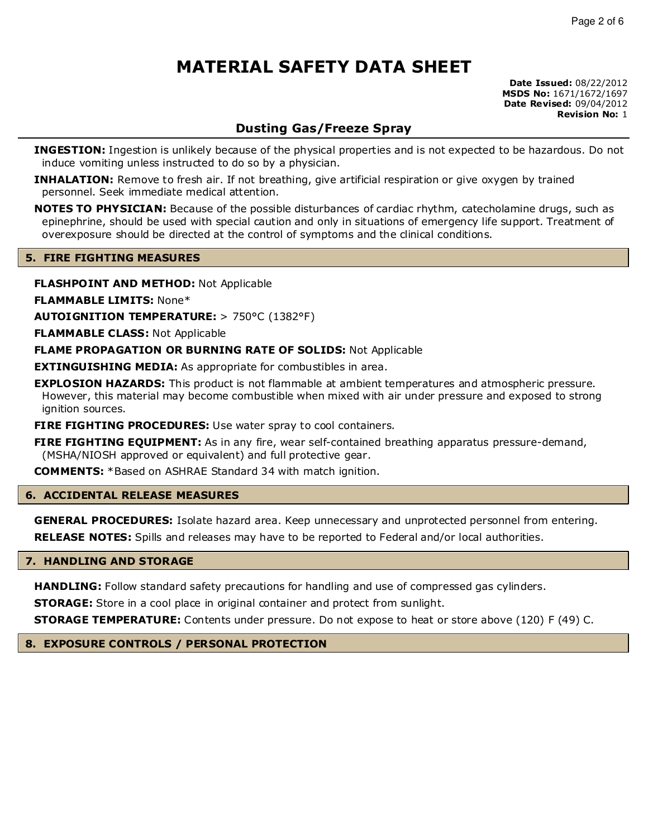**Date Issued:** 08/22/2012 **MSDS No:** 1671/1672/1697 **Date Revised:** 09/04/2012 **Revision No:** 1

# **Dusting Gas/Freeze Spray**

**INGESTION:** Ingestion is unlikely because of the physical properties and is not expected to be hazardous. Do not induce vomiting unless instructed to do so by a physician.

**INHALATION:** Remove to fresh air. If not breathing, give artificial respiration or give oxygen by trained personnel. Seek immediate medical attention.

**NOTES TO PHYSICIAN:** Because of the possible disturbances of cardiac rhythm, catecholamine drugs, such as epinephrine, should be used with special caution and only in situations of emergency life support. Treatment of overexposure should be directed at the control of symptoms and the clinical conditions.

#### **5. FIRE FIGHTING MEASURES**

**FLASHPOINT AND METHOD:** Not Applicable

**FLAMMABLE LIMITS:** None\*

**AUTOIGNITION TEMPERATURE:** > 750°C (1382°F)

**FLAMMABLE CLASS:** Not Applicable

**FLAME PROPAGATION OR BURNING RATE OF SOLIDS:** Not Applicable

**EXTINGUISHING MEDIA:** As appropriate for combustibles in area.

**EXPLOSION HAZARDS:** This product is not flammable at ambient temperatures and atmospheric pressure. However, this material may become combustible when mixed with air under pressure and exposed to strong ignition sources.

**FIRE FIGHTING PROCEDURES:** Use water spray to cool containers.

**FIRE FIGHTING EQUIPMENT:** As in any fire, wear self-contained breathing apparatus pressure-demand, (MSHA/NIOSH approved or equivalent) and full protective gear.

**COMMENTS:** \*Based on ASHRAE Standard 34 with match ignition.

#### **6. ACCIDENTAL RELEASE MEASURES**

**GENERAL PROCEDURES:** Isolate hazard area. Keep unnecessary and unprotected personnel from entering.

**RELEASE NOTES:** Spills and releases may have to be reported to Federal and/or local authorities.

#### **7. HANDLING AND STORAGE**

**HANDLING:** Follow standard safety precautions for handling and use of compressed gas cylinders.

**STORAGE:** Store in a cool place in original container and protect from sunlight.

**STORAGE TEMPERATURE:** Contents under pressure. Do not expose to heat or store above (120) F (49) C.

**8. EXPOSURE CONTROLS / PERSONAL PROTECTION**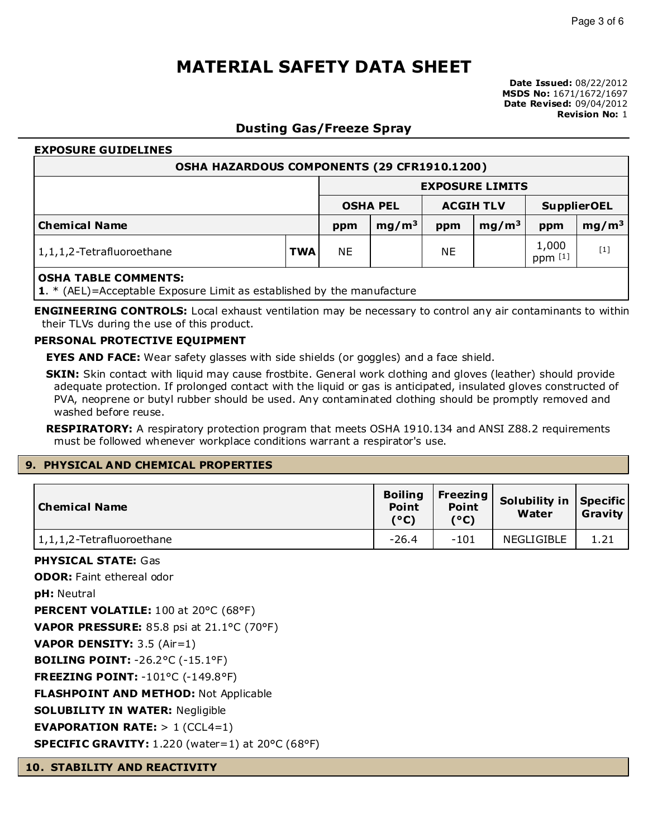### **Dusting Gas/Freeze Spray**

# **EXPOSURE GUIDELINES OSHA HAZARDOUS COMPONENTS (29 CFR1910.1200) EXPOSURE LIMITS OSHA PEL ACGIH TLV SupplierOEL Chemical Name ppm mg/m<sup>3</sup> ppm mg/m<sup>3</sup> ppm mg/m<sup>3</sup>** 1,1,1,2-Tetrafluoroethane **TWA** NE NE NE 1,000 ppm [1]  $[1]$ **OSHA TABLE COMMENTS: 1**. \* (AEL)=Acceptable Exposure Limit as established by the manufacture

**ENGINEERING CONTROLS:** Local exhaust ventilation may be necessary to control any air contaminants to within their TLVs during the use of this product.

#### **PERSONAL PROTECTIVE EQUIPMENT**

**EYES AND FACE:** Wear safety glasses with side shields (or goggles) and a face shield.

**SKIN:** Skin contact with liquid may cause frostbite. General work clothing and gloves (leather) should provide adequate protection. If prolonged contact with the liquid or gas is anticipated, insulated gloves constructed of PVA, neoprene or butyl rubber should be used. Any contaminated clothing should be promptly removed and washed before reuse.

**RESPIRATORY:** A respiratory protection program that meets OSHA 1910.134 and ANSI Z88.2 requirements must be followed whenever workplace conditions warrant a respirator's use.

### **9. PHYSICAL AND CHEMICAL PROPERTIES**

| Chemical Name             | <b>Boiling</b><br><b>Point</b><br>(°C) | Freezing $ $<br><b>Point</b><br>(°C) | Solubility in Specific<br>Water | Gravity |
|---------------------------|----------------------------------------|--------------------------------------|---------------------------------|---------|
| 1,1,1,2-Tetrafluoroethane | $-26.4$                                | $-101$                               | NEGLIGIBLE                      | 1.21    |
| PIIVCTCHI CTAETATE.       |                                        |                                      |                                 |         |

**PHYSICAL STATE:** Gas

**ODOR:** Faint ethereal odor

**pH:** Neutral

**PERCENT VOLATILE:** 100 at 20°C (68°F)

**VAPOR PRESSURE:** 85.8 psi at 21.1°C (70°F)

**VAPOR DENSITY:** 3.5 (Air=1)

**BOILING POINT:** -26.2°C (-15.1°F)

**FREEZING POINT:** -101°C (-149.8°F)

**FLASHPOINT AND METHOD:** Not Applicable

**SOLUBILITY IN WATER:** Negligible

**EVAPORATION RATE:** > 1 (CCL4=1)

**SPECIFIC GRAVITY:** 1.220 (water=1) at 20°C (68°F)

**10. STABILITY AND REACTIVITY**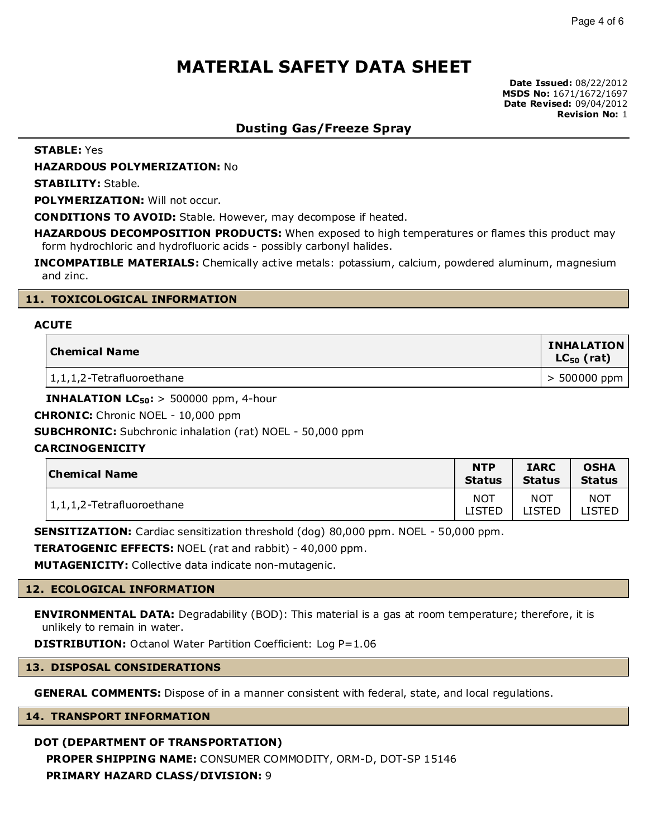**Date Issued:** 08/22/2012 **MSDS No:** 1671/1672/1697 **Date Revised:** 09/04/2012 **Revision No:** 1

### **Dusting Gas/Freeze Spray**

**STABLE:** Yes

**HAZARDOUS POLYMERIZATION:** No

**STABILITY:** Stable.

**POLYMERIZATION:** Will not occur.

**CONDITIONS TO AVOID:** Stable. However, may decompose if heated.

**HAZARDOUS DECOMPOSITION PRODUCTS:** When exposed to high temperatures or flames this product may form hydrochloric and hydrofluoric acids - possibly carbonyl halides.

**INCOMPATIBLE MATERIALS:** Chemically active metals: potassium, calcium, powdered aluminum, magnesium and zinc.

#### **11. TOXICOLOGICAL INFORMATION**

#### **ACUTE**

| Chemical Name             | <b>INHALATION</b><br>$LC_{50}$ (rat) |  |
|---------------------------|--------------------------------------|--|
| 1,1,1,2-Tetrafluoroethane | $> 500000$ ppm                       |  |

**INHALATION**  $LC_{50}$ **: > 500000 ppm, 4-hour** 

**CHRONIC:** Chronic NOEL - 10,000 ppm

**SUBCHRONIC:** Subchronic inhalation (rat) NOEL - 50,000 ppm

#### **CARCINOGENICITY**

| <b>Chemical Name</b>         | <b>NTP</b>    | <b>IARC</b>   | <b>OSHA</b>   |
|------------------------------|---------------|---------------|---------------|
|                              | <b>Status</b> | <b>Status</b> | <b>Status</b> |
| 1, 1, 1, 2-Tetrafluoroethane | <b>NOT</b>    | <b>NOT</b>    | <b>NOT</b>    |
|                              | LISTED        | ISTED         | _ISTED        |

**SENSITIZATION:** Cardiac sensitization threshold (dog) 80,000 ppm. NOEL - 50,000 ppm.

**TERATOGENIC EFFECTS:** NOEL (rat and rabbit) - 40,000 ppm.

**MUTAGENICITY:** Collective data indicate non-mutagenic.

#### **12. ECOLOGICAL INFORMATION**

**ENVIRONMENTAL DATA:** Degradability (BOD): This material is a gas at room temperature; therefore, it is unlikely to remain in water.

**DISTRIBUTION:** Octanol Water Partition Coefficient: Log P=1.06

#### **13. DISPOSAL CONSIDERATIONS**

**GENERAL COMMENTS:** Dispose of in a manner consistent with federal, state, and local regulations.

#### **14. TRANSPORT INFORMATION**

### **DOT (DEPARTMENT OF TRANSPORTATION)**

**PROPER SHIPPING NAME:** CONSUMER COMMODITY, ORM-D, DOT-SP 15146 **PRIMARY HAZARD CLASS/DIVISION:** 9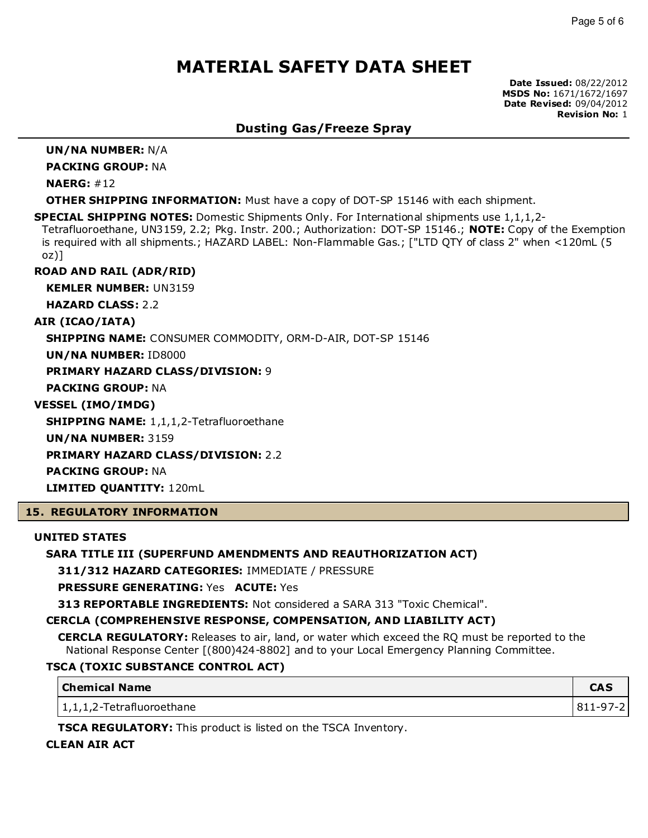**Date Issued:** 08/22/2012 **MSDS No:** 1671/1672/1697 **Date Revised:** 09/04/2012 **Revision No:** 1

### **Dusting Gas/Freeze Spray**

**UN/NA NUMBER:** N/A

**PACKING GROUP:** NA

**NAERG:** #12

**OTHER SHIPPING INFORMATION:** Must have a copy of DOT-SP 15146 with each shipment.

**SPECIAL SHIPPING NOTES:** Domestic Shipments Only. For International shipments use 1,1,1,2-

Tetrafluoroethane, UN3159, 2.2; Pkg. Instr. 200.; Authorization: DOT-SP 15146.; **NOTE:** Copy of the Exemption is required with all shipments.; HAZARD LABEL: Non-Flammable Gas.; ["LTD QTY of class 2" when <120mL (5 oz)]

**ROAD AND RAIL (ADR/RID)**

**KEMLER NUMBER:** UN3159

**HAZARD CLASS:** 2.2

**AIR (ICAO/IATA)**

**SHIPPING NAME:** CONSUMER COMMODITY, ORM-D-AIR, DOT-SP 15146

**UN/NA NUMBER:** ID8000

**PRIMARY HAZARD CLASS/DIVISION:** 9

**PACKING GROUP:** NA

**VESSEL (IMO/IMDG)**

**SHIPPING NAME:** 1,1,1,2-Tetrafluoroethane

**UN/NA NUMBER:** 3159

**PRIMARY HAZARD CLASS/DIVISION:** 2.2

**PACKING GROUP:** NA

**LIMITED QUANTITY:** 120mL

#### **15. REGULATORY INFORMATION**

#### **UNITED STATES**

#### **SARA TITLE III (SUPERFUND AMENDMENTS AND REAUTHORIZATION ACT)**

**311/312 HAZARD CATEGORIES:** IMMEDIATE / PRESSURE

**PRESSURE GENERATING:** Yes **ACUTE:** Yes

**313 REPORTABLE INGREDIENTS:** Not considered a SARA 313 "Toxic Chemical".

### **CERCLA (COMPREHENSIVE RESPONSE, COMPENSATION, AND LIABILITY ACT)**

**CERCLA REGULATORY:** Releases to air, land, or water which exceed the RQ must be reported to the National Response Center [(800)424-8802] and to your Local Emergency Planning Committee.

### **TSCA (TOXIC SUBSTANCE CONTROL ACT)**

| <b>Chemical Name</b>      | CAC<br>СМЭ |
|---------------------------|------------|
| 1,1,1,2-Tetrafluoroethane | 811-97-2   |

**TSCA REGULATORY:** This product is listed on the TSCA Inventory.

### **CLEAN AIR ACT**